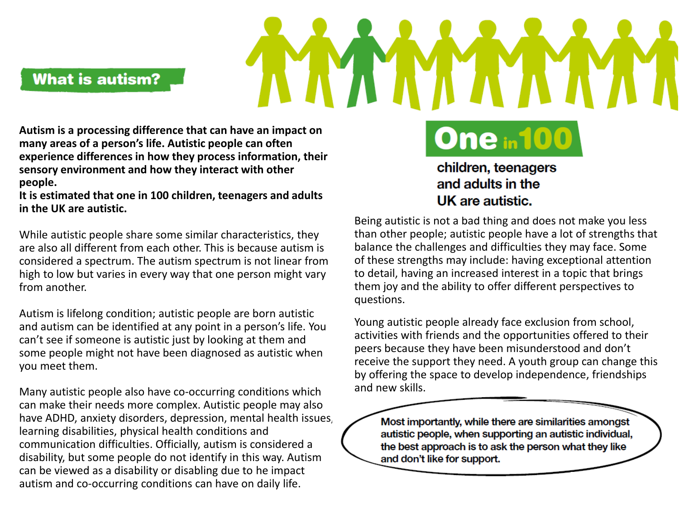**What is autism?** 

**Autism is a processing difference that can have an impact on many areas of a person's life. Autistic people can often experience differences in how they process information, their sensory environment and how they interact with other people.**

**It is estimated that one in 100 children, teenagers and adults in the UK are autistic.**

While autistic people share some similar characteristics, they are also all different from each other. This is because autism is considered a spectrum. The autism spectrum is not linear from high to low but varies in every way that one person might vary from another.

Autism is lifelong condition; autistic people are born autistic and autism can be identified at any point in a person's life. You can't see if someone is autistic just by looking at them and some people might not have been diagnosed as autistic when you meet them.

Many autistic people also have co-occurring conditions which can make their needs more complex. Autistic people may also have ADHD, anxiety disorders, depression, mental health issues, learning disabilities, physical health conditions and communication difficulties. Officially, autism is considered a disability, but some people do not identify in this way. Autism can be viewed as a disability or disabling due to he impact autism and co-occurring conditions can have on daily life.

children, teenagers and adults in the UK are autistic.

**One in 100** 

Being autistic is not a bad thing and does not make you less than other people; autistic people have a lot of strengths that balance the challenges and difficulties they may face. Some of these strengths may include: having exceptional attention to detail, having an increased interest in a topic that brings them joy and the ability to offer different perspectives to questions.

Young autistic people already face exclusion from school, activities with friends and the opportunities offered to their peers because they have been misunderstood and don't receive the support they need. A youth group can change this by offering the space to develop independence, friendships and new skills.

Most importantly, while there are similarities amongst autistic people, when supporting an autistic individual, the best approach is to ask the person what they like and don't like for support.